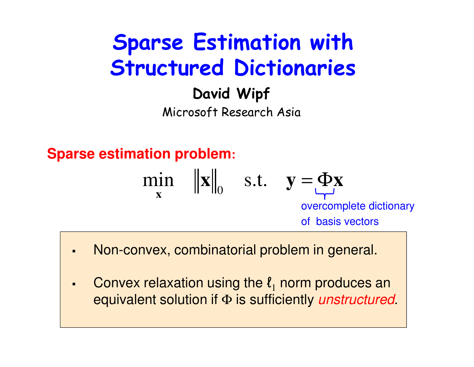## Sparse Estimation with Structured Dictionaries

### David Wipf

Microsoft Research Asia

**Sparse estimation problem:**

min 
$$
\|\mathbf{x}\|_0
$$
 s.t.  $\mathbf{y} = \underbrace{\mathbf{\Phi}\mathbf{x}}_{\text{overcomplete dictionary}}$   
of basis vectors

- $\blacksquare$ Non-convex, combinatorial problem in general.
- $\blacksquare$ **Convex relaxation using the**  $\ell_1$  **norm produces an** equivalent solution if Φ is sufficiently *unstructured*.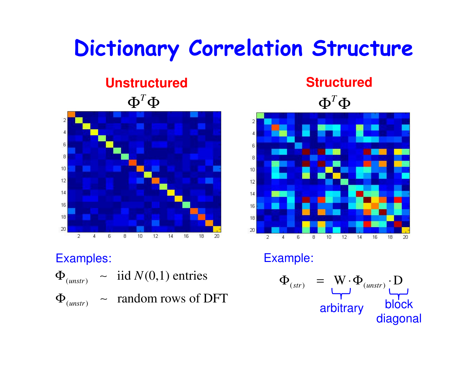### Dictionary Correlation Structure

### **Unstructured**



#### Examples:

$$
\Phi_{(unstr)} - iid N(0,1) entries
$$
\n
$$
\Phi_{(unstr)} - random rows of DFT
$$

### **Structured**



#### Example:

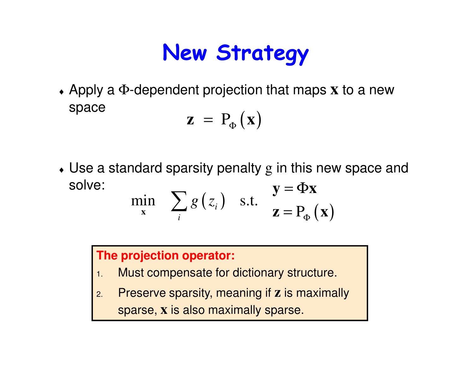### New Strategy

♦ Apply a Φ-dependent projection that maps **<sup>x</sup>** to a new space

$$
\mathbf{z} = \mathbf{P}_{\Phi}(\mathbf{x})
$$

♦ Use a standard sparsity penalty <sup>g</sup> in this new space and solve: **y <sup>x</sup>** $y = \Phi x$ 

$$
\min_{\mathbf{x}} \sum_{i} g(z_i) \quad \text{s.t.} \quad \frac{\partial}{\partial z} = P_{\Phi}(\mathbf{x})
$$

#### **The projection operator:**

- 1.Must compensate for dictionary structure.
- 2. Preserve sparsity, meaning if **<sup>z</sup>** is maximally sparse, **x** is also maximally sparse.